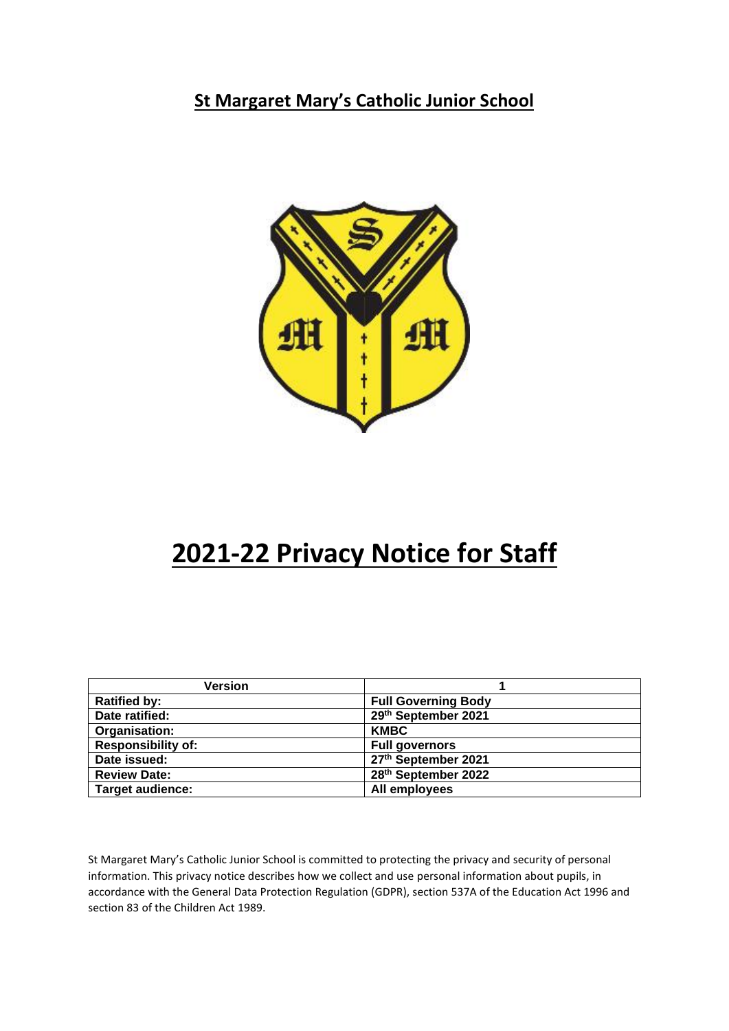**St Margaret Mary's Catholic Junior School**



# **2021-22 Privacy Notice for Staff**

| <b>Version</b>            |                            |
|---------------------------|----------------------------|
| <b>Ratified by:</b>       | <b>Full Governing Body</b> |
| Date ratified:            | 29th September 2021        |
| Organisation:             | <b>KMBC</b>                |
| <b>Responsibility of:</b> | <b>Full governors</b>      |
| Date issued:              | 27th September 2021        |
| <b>Review Date:</b>       | 28th September 2022        |
| <b>Target audience:</b>   | All employees              |

St Margaret Mary's Catholic Junior School is committed to protecting the privacy and security of personal information. This privacy notice describes how we collect and use personal information about pupils, in accordance with the General Data Protection Regulation (GDPR), section 537A of the Education Act 1996 and section 83 of the Children Act 1989.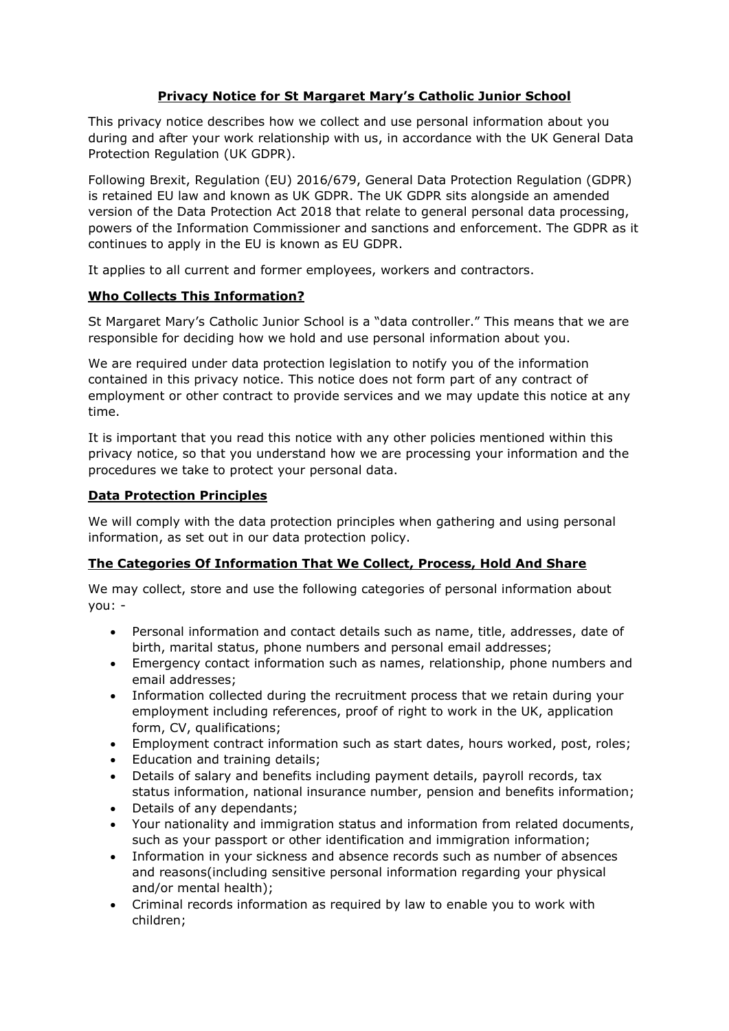## **Privacy Notice for St Margaret Mary's Catholic Junior School**

This privacy notice describes how we collect and use personal information about you during and after your work relationship with us, in accordance with the UK General Data Protection Regulation (UK GDPR).

Following Brexit, Regulation (EU) 2016/679, General Data Protection Regulation (GDPR) is retained EU law and known as UK GDPR. The UK GDPR sits alongside an amended version of the Data Protection Act 2018 that relate to general personal data processing, powers of the Information Commissioner and sanctions and enforcement. The GDPR as it continues to apply in the EU is known as EU GDPR.

It applies to all current and former employees, workers and contractors.

## **Who Collects This Information?**

St Margaret Mary's Catholic Junior School is a "data controller." This means that we are responsible for deciding how we hold and use personal information about you.

We are required under data protection legislation to notify you of the information contained in this privacy notice. This notice does not form part of any contract of employment or other contract to provide services and we may update this notice at any time.

It is important that you read this notice with any other policies mentioned within this privacy notice, so that you understand how we are processing your information and the procedures we take to protect your personal data.

## **Data Protection Principles**

We will comply with the data protection principles when gathering and using personal information, as set out in our data protection policy.

## **The Categories Of Information That We Collect, Process, Hold And Share**

We may collect, store and use the following categories of personal information about you: -

- Personal information and contact details such as name, title, addresses, date of birth, marital status, phone numbers and personal email addresses;
- Emergency contact information such as names, relationship, phone numbers and email addresses;
- Information collected during the recruitment process that we retain during your employment including references, proof of right to work in the UK, application form, CV, qualifications;
- Employment contract information such as start dates, hours worked, post, roles;
- Education and training details;
- Details of salary and benefits including payment details, payroll records, tax status information, national insurance number, pension and benefits information;
- Details of any dependants;
- Your nationality and immigration status and information from related documents, such as your passport or other identification and immigration information;
- Information in your sickness and absence records such as number of absences and reasons(including sensitive personal information regarding your physical and/or mental health);
- Criminal records information as required by law to enable you to work with children;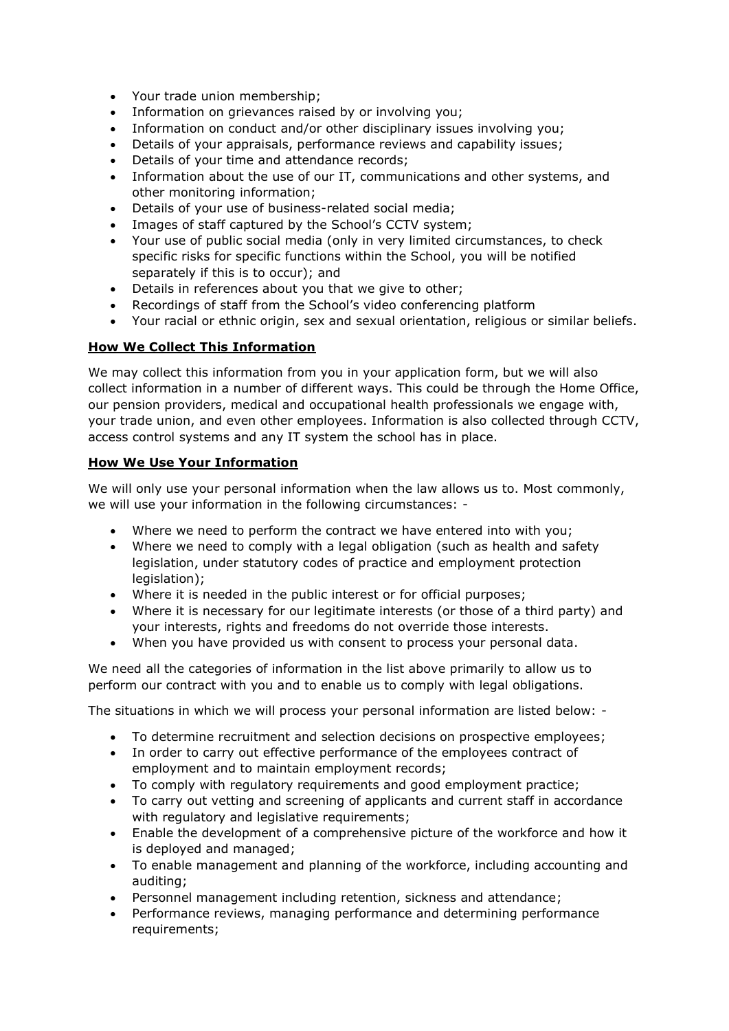- Your trade union membership;
- Information on grievances raised by or involving you;
- Information on conduct and/or other disciplinary issues involving you;
- Details of your appraisals, performance reviews and capability issues;
- Details of your time and attendance records;
- Information about the use of our IT, communications and other systems, and other monitoring information;
- Details of your use of business-related social media;
- Images of staff captured by the School's CCTV system;
- Your use of public social media (only in very limited circumstances, to check specific risks for specific functions within the School, you will be notified separately if this is to occur); and
- Details in references about you that we give to other;
- Recordings of staff from the School's video conferencing platform
- Your racial or ethnic origin, sex and sexual orientation, religious or similar beliefs.

## **How We Collect This Information**

We may collect this information from you in your application form, but we will also collect information in a number of different ways. This could be through the Home Office, our pension providers, medical and occupational health professionals we engage with, your trade union, and even other employees. Information is also collected through CCTV, access control systems and any IT system the school has in place.

## **How We Use Your Information**

We will only use your personal information when the law allows us to. Most commonly, we will use your information in the following circumstances: -

- Where we need to perform the contract we have entered into with you;
- Where we need to comply with a legal obligation (such as health and safety legislation, under statutory codes of practice and employment protection legislation);
- Where it is needed in the public interest or for official purposes;
- Where it is necessary for our legitimate interests (or those of a third party) and your interests, rights and freedoms do not override those interests.
- When you have provided us with consent to process your personal data.

We need all the categories of information in the list above primarily to allow us to perform our contract with you and to enable us to comply with legal obligations.

The situations in which we will process your personal information are listed below: -

- To determine recruitment and selection decisions on prospective employees;
- In order to carry out effective performance of the employees contract of employment and to maintain employment records;
- To comply with regulatory requirements and good employment practice;
- To carry out vetting and screening of applicants and current staff in accordance with regulatory and legislative requirements;
- Enable the development of a comprehensive picture of the workforce and how it is deployed and managed;
- To enable management and planning of the workforce, including accounting and auditing;
- Personnel management including retention, sickness and attendance;
- Performance reviews, managing performance and determining performance requirements;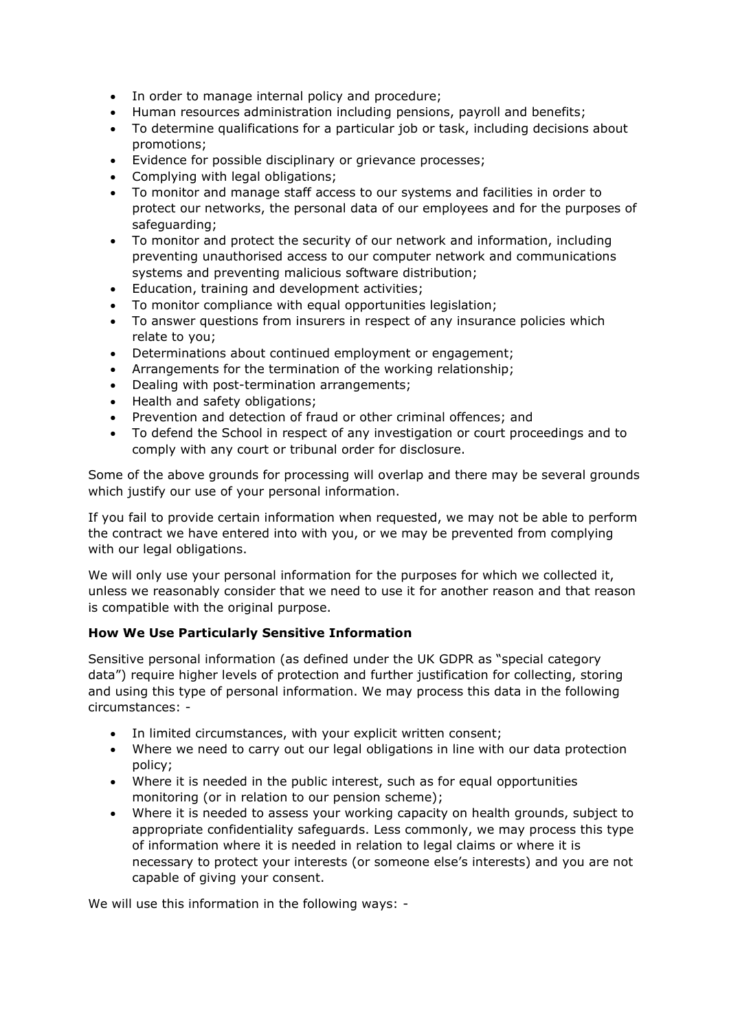- In order to manage internal policy and procedure;
- Human resources administration including pensions, payroll and benefits;
- To determine qualifications for a particular job or task, including decisions about promotions;
- Evidence for possible disciplinary or grievance processes;
- Complying with legal obligations;
- To monitor and manage staff access to our systems and facilities in order to protect our networks, the personal data of our employees and for the purposes of safeguarding;
- To monitor and protect the security of our network and information, including preventing unauthorised access to our computer network and communications systems and preventing malicious software distribution;
- Education, training and development activities;
- To monitor compliance with equal opportunities legislation;
- To answer questions from insurers in respect of any insurance policies which relate to you;
- Determinations about continued employment or engagement;
- Arrangements for the termination of the working relationship;
- Dealing with post-termination arrangements;
- Health and safety obligations;
- Prevention and detection of fraud or other criminal offences; and
- To defend the School in respect of any investigation or court proceedings and to comply with any court or tribunal order for disclosure.

Some of the above grounds for processing will overlap and there may be several grounds which justify our use of your personal information.

If you fail to provide certain information when requested, we may not be able to perform the contract we have entered into with you, or we may be prevented from complying with our legal obligations.

We will only use your personal information for the purposes for which we collected it, unless we reasonably consider that we need to use it for another reason and that reason is compatible with the original purpose.

## **How We Use Particularly Sensitive Information**

Sensitive personal information (as defined under the UK GDPR as "special category data") require higher levels of protection and further justification for collecting, storing and using this type of personal information. We may process this data in the following circumstances: -

- In limited circumstances, with your explicit written consent;
- Where we need to carry out our legal obligations in line with our data protection policy;
- Where it is needed in the public interest, such as for equal opportunities monitoring (or in relation to our pension scheme);
- Where it is needed to assess your working capacity on health grounds, subject to appropriate confidentiality safeguards. Less commonly, we may process this type of information where it is needed in relation to legal claims or where it is necessary to protect your interests (or someone else's interests) and you are not capable of giving your consent.

We will use this information in the following ways: -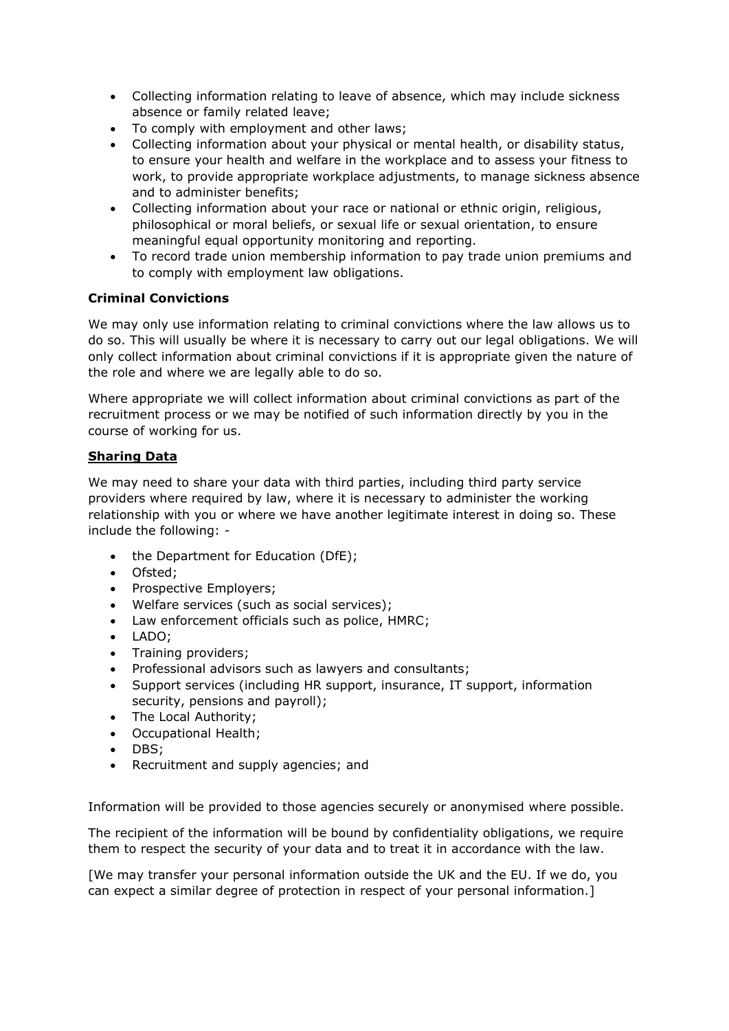- Collecting information relating to leave of absence, which may include sickness absence or family related leave;
- To comply with employment and other laws;
- Collecting information about your physical or mental health, or disability status, to ensure your health and welfare in the workplace and to assess your fitness to work, to provide appropriate workplace adjustments, to manage sickness absence and to administer benefits;
- Collecting information about your race or national or ethnic origin, religious, philosophical or moral beliefs, or sexual life or sexual orientation, to ensure meaningful equal opportunity monitoring and reporting.
- To record trade union membership information to pay trade union premiums and to comply with employment law obligations.

## **Criminal Convictions**

We may only use information relating to criminal convictions where the law allows us to do so. This will usually be where it is necessary to carry out our legal obligations. We will only collect information about criminal convictions if it is appropriate given the nature of the role and where we are legally able to do so.

Where appropriate we will collect information about criminal convictions as part of the recruitment process or we may be notified of such information directly by you in the course of working for us.

## **Sharing Data**

We may need to share your data with third parties, including third party service providers where required by law, where it is necessary to administer the working relationship with you or where we have another legitimate interest in doing so. These include the following: -

- the Department for Education (DfE);
- Ofsted;
- Prospective Employers;
- Welfare services (such as social services);
- Law enforcement officials such as police, HMRC;
- LADO;
- Training providers;
- Professional advisors such as lawyers and consultants;
- Support services (including HR support, insurance, IT support, information security, pensions and payroll);
- The Local Authority;
- Occupational Health;
- DBS;
- Recruitment and supply agencies; and

Information will be provided to those agencies securely or anonymised where possible.

The recipient of the information will be bound by confidentiality obligations, we require them to respect the security of your data and to treat it in accordance with the law.

[We may transfer your personal information outside the UK and the EU. If we do, you can expect a similar degree of protection in respect of your personal information.]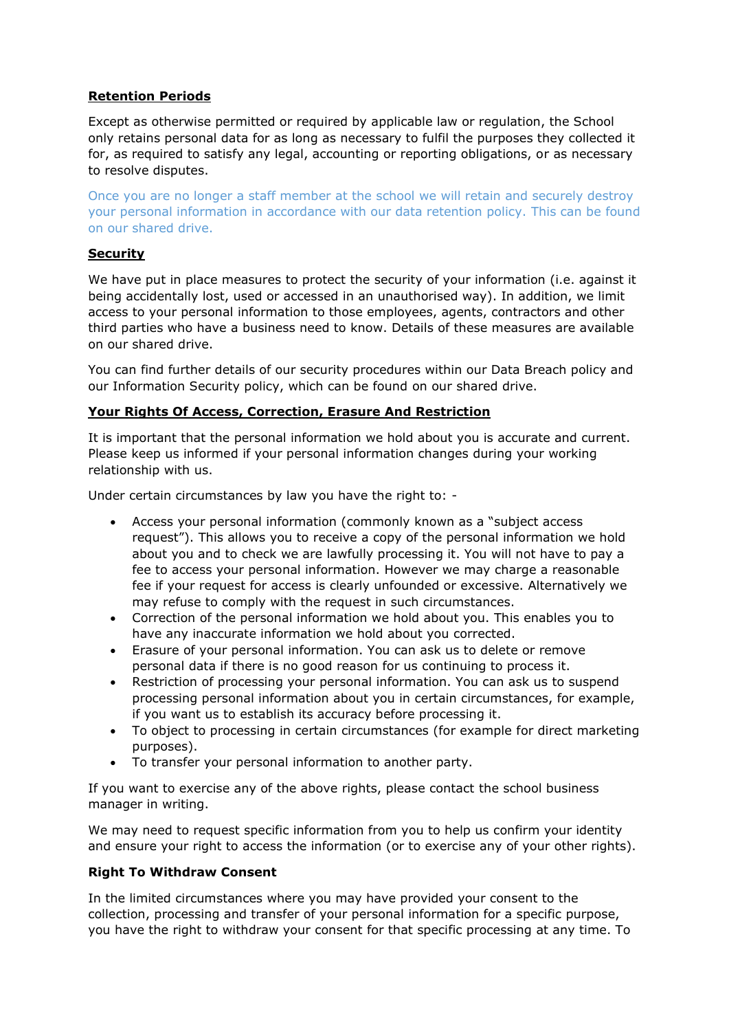## **Retention Periods**

Except as otherwise permitted or required by applicable law or regulation, the School only retains personal data for as long as necessary to fulfil the purposes they collected it for, as required to satisfy any legal, accounting or reporting obligations, or as necessary to resolve disputes.

Once you are no longer a staff member at the school we will retain and securely destroy your personal information in accordance with our data retention policy. This can be found on our shared drive.

#### **Security**

We have put in place measures to protect the security of your information (i.e. against it being accidentally lost, used or accessed in an unauthorised way). In addition, we limit access to your personal information to those employees, agents, contractors and other third parties who have a business need to know. Details of these measures are available on our shared drive.

You can find further details of our security procedures within our Data Breach policy and our Information Security policy, which can be found on our shared drive.

## **Your Rights Of Access, Correction, Erasure And Restriction**

It is important that the personal information we hold about you is accurate and current. Please keep us informed if your personal information changes during your working relationship with us.

Under certain circumstances by law you have the right to: -

- Access your personal information (commonly known as a "subject access request"). This allows you to receive a copy of the personal information we hold about you and to check we are lawfully processing it. You will not have to pay a fee to access your personal information. However we may charge a reasonable fee if your request for access is clearly unfounded or excessive. Alternatively we may refuse to comply with the request in such circumstances.
- Correction of the personal information we hold about you. This enables you to have any inaccurate information we hold about you corrected.
- Erasure of your personal information. You can ask us to delete or remove personal data if there is no good reason for us continuing to process it.
- Restriction of processing your personal information. You can ask us to suspend processing personal information about you in certain circumstances, for example, if you want us to establish its accuracy before processing it.
- To object to processing in certain circumstances (for example for direct marketing purposes).
- To transfer your personal information to another party.

If you want to exercise any of the above rights, please contact the school business manager in writing.

We may need to request specific information from you to help us confirm your identity and ensure your right to access the information (or to exercise any of your other rights).

## **Right To Withdraw Consent**

In the limited circumstances where you may have provided your consent to the collection, processing and transfer of your personal information for a specific purpose, you have the right to withdraw your consent for that specific processing at any time. To